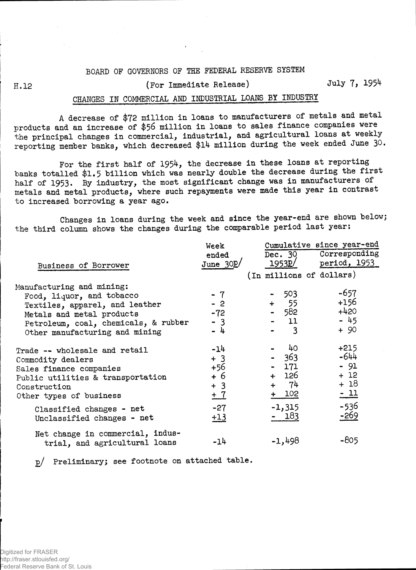## BOARD OF GOVERNORS OF THE FEDERAL RESERVE SYSTEM

## H.12 (For Immediate Release) July *1,* 1954

## CHANGES IN COMMERCIAL AMD INDUSTRIAL LOAMS BY INDUSTRY

A decrease of \$72 million in loans to manufacturers of metals and metal products and an increase of \$56 million in loans to sales finance companies were the principal changes in commercial, industrial, and agricultural loans at weekly reporting member banks, which decreased \$14 million during the week ended June 30.

For the first half of 1954, the decrease in these loans at reporting banks totalled \$1.5 billion which was nearly double the decrease during the first half of 1953. By industry, the most significant change was in manufacturers of metals and metal products, where such repayments were made this year in contrast to increased borrowing a year ago.

Changes in loans during the week and since the year-end are shown below; the third column shows the changes during the comparable period last year:

|                                      | Week       | Cumulative since year-end |                |          |  |                          |  |  |
|--------------------------------------|------------|---------------------------|----------------|----------|--|--------------------------|--|--|
|                                      | ended      |                           |                |          |  | Dec. 30 Corresponding    |  |  |
| Business of Borrower                 | June $30p$ |                           | 1953 <u>P/</u> |          |  | period, 1953             |  |  |
|                                      |            |                           |                |          |  | (In millions of dollars) |  |  |
| Manufacturing and mining:            |            |                           |                |          |  |                          |  |  |
| Food, liquor, and tobacco            | - 7        |                           |                | - 503    |  | $-657$                   |  |  |
| Textiles, apparel, and leather       | $-2$       |                           |                | $+ 55$   |  | $+156$                   |  |  |
| Metals and metal products            | $-72$      |                           |                | - 582    |  | $+420$                   |  |  |
| Petroleum, coal, chemicals, & rubber | $-3$       |                           |                | $-11$    |  | $-45$                    |  |  |
| Other manufacturing and mining       | - 4        |                           |                | $-3$     |  | $+90$                    |  |  |
| Trade -- wholesale and retail        | $-14$      |                           |                | 40       |  | $+215$                   |  |  |
| Commodity dealers                    | $+3$       |                           |                | $-363$   |  | $-644$                   |  |  |
| Sales finance companies              | +56        |                           |                | - 171    |  | $-91$                    |  |  |
| Public utilities & transportation    | + 6        |                           |                | + 126    |  | $+12$                    |  |  |
| Construction                         | $+3$       |                           |                | $+ 74$   |  | $+18$                    |  |  |
| Other types of business              | $+7$       |                           |                | $+ 102$  |  | $-11$                    |  |  |
| Classified changes - net             | $-27$      |                           |                | $-1,315$ |  | $-536$                   |  |  |
| Unclassified changes - net           | $+13$      |                           |                | - 183    |  | $-269$                   |  |  |
| Net change in commercial, indus-     |            |                           |                |          |  |                          |  |  |
| trial, and agricultural loans        | $-14$      |                           |                | $-1,498$ |  | -805                     |  |  |

g/ Preliminary; see footnote on attached table.